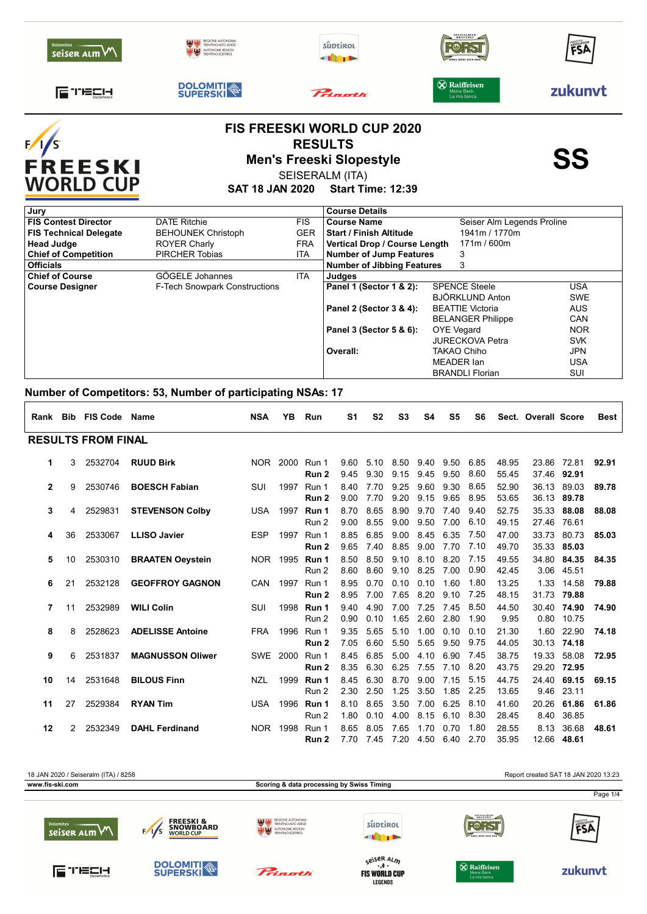| <b>Dolomites</b><br>seiser alm V                | <b>TRENTINO AITO ADIG</b><br><b>NUTONOME REGION</b> |                          | süptirol<br>alin s                                                                                        | <b>SPEZIALBIER</b><br>BRAUEREI                    | FSA        |
|-------------------------------------------------|-----------------------------------------------------|--------------------------|-----------------------------------------------------------------------------------------------------------|---------------------------------------------------|------------|
| TECH<br>l=                                      | <b>DOLOMITI</b>                                     |                          | $P_{\text{start}}$                                                                                        | <b>X</b> Raiffeisen<br>Meine Bank<br>La mia banca | zukunvt    |
| F<br><b>FREESKI</b><br><b>WORLD CUP</b>         |                                                     |                          | <b>FIS FREESKI WORLD CUP 2020</b><br><b>RESULTS</b><br><b>Men's Freeski Slopestyle</b><br>SEISERALM (ITA) |                                                   | SS         |
|                                                 | SAT 18 JAN 2020                                     |                          | <b>Start Time: 12:39</b>                                                                                  |                                                   |            |
| Jury                                            |                                                     |                          | <b>Course Details</b>                                                                                     |                                                   |            |
| <b>FIS Contest Director</b>                     | <b>DATE Ritchie</b>                                 | <b>FIS</b>               | <b>Course Name</b>                                                                                        | Seiser Alm Legends Proline                        |            |
| <b>FIS Technical Delegate</b>                   | <b>BEHOUNEK Christoph</b>                           | <b>GER</b>               | <b>Start / Finish Altitude</b>                                                                            | 1941m / 1770m                                     |            |
| <b>Head Judge</b>                               | <b>ROYER Charly</b><br><b>PIRCHER Tobias</b>        | <b>FRA</b><br><b>ITA</b> | Vertical Drop / Course Length                                                                             | 171m / 600m                                       |            |
| <b>Chief of Competition</b><br><b>Officials</b> |                                                     |                          | <b>Number of Jump Features</b><br><b>Number of Jibbing Features</b>                                       | 3<br>3                                            |            |
| <b>Chief of Course</b>                          | GÖGELE Johannes                                     | <b>ITA</b>               | <b>Judges</b>                                                                                             |                                                   |            |
| <b>Course Designer</b>                          | <b>F-Tech Snowpark Constructions</b>                |                          | Panel 1 (Sector 1 & 2):                                                                                   | <b>SPENCE Steele</b>                              | <b>USA</b> |
|                                                 |                                                     |                          |                                                                                                           | <b>BJÖRKLUND Anton</b>                            | <b>SWE</b> |
|                                                 |                                                     |                          | Panel 2 (Sector 3 & 4):                                                                                   | <b>BEATTIE Victoria</b>                           | <b>AUS</b> |
|                                                 |                                                     |                          |                                                                                                           | <b>BELANGER Philippe</b>                          | CAN        |
|                                                 |                                                     |                          | Panel 3 (Sector 5 & 6):                                                                                   | <b>OYE Vegard</b>                                 | <b>NOR</b> |
|                                                 |                                                     |                          |                                                                                                           | <b>JURECKOVA Petra</b>                            | <b>SVK</b> |
|                                                 |                                                     |                          | Overall:                                                                                                  | <b>TAKAO Chiho</b>                                | <b>JPN</b> |
|                                                 |                                                     |                          |                                                                                                           | <b>MEADER</b> lan                                 | <b>USA</b> |
|                                                 |                                                     |                          |                                                                                                           | <b>BRANDLI Florian</b>                            | SUI        |

**\_**

## **Number of Competitors: 53, Number of participating NSAs: 17**

|              |                | Rank Bib FIS Code         | Name                    | <b>NSA</b> | YB       | Run            | S1           | S <sub>2</sub> | S <sub>3</sub>    | S4            | S <sub>5</sub> | S6           |                | Sect. Overall Score  |                           | <b>Best</b> |
|--------------|----------------|---------------------------|-------------------------|------------|----------|----------------|--------------|----------------|-------------------|---------------|----------------|--------------|----------------|----------------------|---------------------------|-------------|
|              |                | <b>RESULTS FROM FINAL</b> |                         |            |          |                |              |                |                   |               |                |              |                |                      |                           |             |
| 1            | 3              | 2532704                   | <b>RUUD Birk</b>        |            | NOR 2000 | Run 1<br>Run 2 | 9.60<br>9.45 | 5.10<br>9.30   | 8.50<br>9.15      | 9.40<br>9.45  | 9.50<br>9.50   | 6.85<br>8.60 | 48.95<br>55.45 | 23.86                | 72.81<br>37.46 92.91      | 92.91       |
| $\mathbf{2}$ | 9              | 2530746                   | <b>BOESCH Fabian</b>    | <b>SUI</b> | 1997     | Run 1<br>Run 2 | 8.40<br>9.00 | 7.70<br>7.70   | 9.25<br>9.20      | 9.60<br>9.15  | 9.30<br>9.65   | 8.65<br>8.95 | 52.90<br>53.65 | 36.13                | 89.03<br>36.13 89.78      | 89.78       |
| 3            | 4              | 2529831                   | <b>STEVENSON Colby</b>  | USA        | 1997     | Run 1<br>Run 2 | 8.70<br>9.00 | 8.65<br>8.55   | 8.90<br>9.00      | 9.70<br>9.50  | 7.40<br>7.00   | 9.40<br>6.10 | 52.75<br>49.15 | 35.33<br>27.46 76.61 | 88.08                     | 88.08       |
| 4            | 36             | 2533067                   | <b>LLISO Javier</b>     | <b>ESP</b> | 1997     | Run 1<br>Run 2 | 8.85<br>9.65 | 6.85<br>7.40   | 9.00<br>8.85      | 8.45<br>9.00  | 6.35<br>7.70   | 7.50<br>7.10 | 47.00<br>49.70 | 33.73                | 80.73<br>35.33 85.03      | 85.03       |
| 5            | 10             | 2530310                   | <b>BRAATEN Oeystein</b> |            | NOR 1995 | Run 1<br>Run 2 | 8.50<br>8.60 | 8.50<br>8.60   | 9.10<br>9.10 8.25 | 8.10          | 8.20<br>7.00   | 7.15<br>0.90 | 49.55<br>42.45 | 34.80                | 84.35<br>3.06 45.51       | 84.35       |
| 6            | 21             | 2532128                   | <b>GEOFFROY GAGNON</b>  | <b>CAN</b> | 1997     | Run 1<br>Run 2 | 8.95<br>8.95 | 0.70<br>7.00   | 0.10<br>7.65      | 0.10<br>8.20  | 1.60<br>9.10   | 1.80<br>7.25 | 13.25<br>48.15 |                      | 1.33 14.58<br>31.73 79.88 | 79.88       |
| 7            | 11             | 2532989                   | <b>WILI Colin</b>       | SUI        | 1998     | Run 1<br>Run 2 | 9.40<br>0.90 | 4.90<br>0.10   | 7.00<br>1.65      | 7.25<br>2.60  | 7.45<br>2.80   | 8.50<br>1.90 | 44.50<br>9.95  | 30.40                | 74.90<br>0.80 10.75       | 74.90       |
| 8            | 8              | 2528623                   | <b>ADELISSE Antoine</b> | <b>FRA</b> | 1996     | Run 1<br>Run 2 | 9.35<br>7.05 | 5.65<br>6.60   | 5.10<br>5.50      | 1.00<br>5.65  | 0.10<br>9.50   | 0.10<br>9.75 | 21.30<br>44.05 | 1.60                 | 22.90<br>30.13 74.18      | 74.18       |
| 9            | 6              | 2531837                   | <b>MAGNUSSON Oliwer</b> |            | SWE 2000 | Run 1<br>Run 2 | 8.45<br>8.35 | 6.85<br>6.30   | 5.00<br>6.25      | 4.10<br>7.55  | 6.90<br>7.10   | 7.45<br>8.20 | 38.75<br>43.75 | 19.33                | 58.08<br>29.20 72.95      | 72.95       |
| 10           | 14             | 2531648                   | <b>BILOUS Finn</b>      | <b>NZL</b> | 1999     | Run 1<br>Run 2 | 8.45<br>2.30 | 6.30<br>2.50   | 8.70<br>1.25      | 9.00<br>3.50  | 7.15<br>1.85   | 5.15<br>2.25 | 44.75<br>13.65 | 24.40<br>9.46        | 69.15<br>23.11            | 69.15       |
| 11           | 27             | 2529384                   | <b>RYAN Tim</b>         | <b>USA</b> | 1996     | Run 1<br>Run 2 | 8.10<br>1.80 | 8.65<br>0.10   | 3.50<br>4.00      | 7.00<br>8.15  | 6.25<br>6.10   | 8.10<br>8.30 | 41.60<br>28.45 | 20.26<br>8.40        | 61.86<br>36.85            | 61.86       |
| 12           | $\overline{2}$ | 2532349                   | <b>DAHL Ferdinand</b>   | NOR 1998   |          | Run 1<br>Run 2 | 8.65<br>7.70 | 8.05<br>7.45   | 765<br>7.20       | 1 7 0<br>4.50 | 0.70<br>6.40   | 1.80<br>2.70 | 28.55<br>35.95 | 8.13                 | 36.68<br>12.66 48.61      | 48.61       |



**LEGENDS**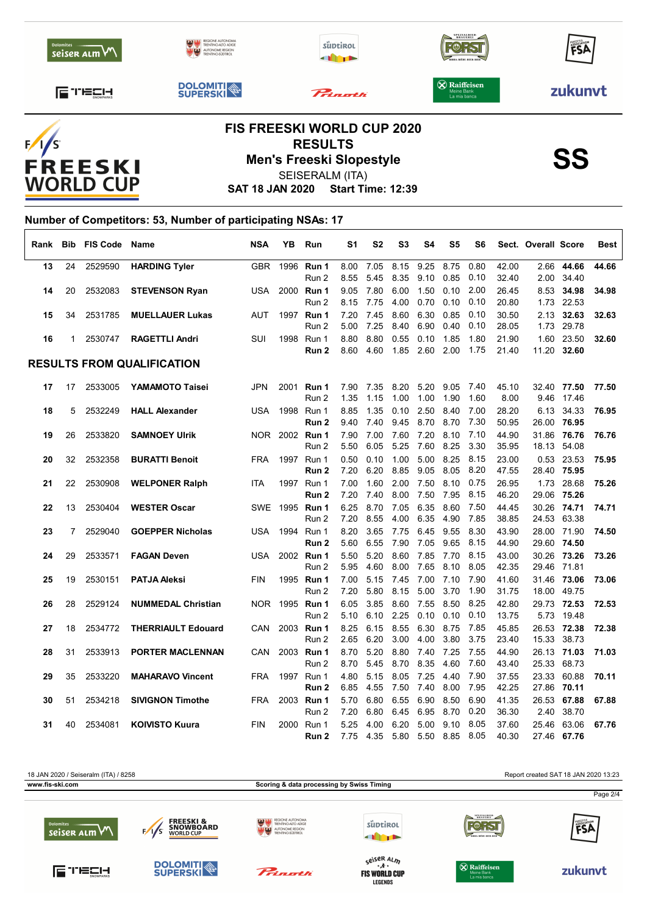|                                |                                                                          | <b>FIS FREESKI WORLD CUP 2020</b><br><b>DECIII TC</b> |                                                    |         |
|--------------------------------|--------------------------------------------------------------------------|-------------------------------------------------------|----------------------------------------------------|---------|
| ETECH.                         | <b>DOLOMITI</b>                                                          | Princetti                                             | $\otimes$ Raiffeisen<br>Meine Bank<br>La mia banca | zukunvt |
| <b>Dolomites</b><br>seiser ALM | REGIONE AUTONOMA<br>TRENTINO-ALTO ADIGE<br><b>AN SAN</b> AUTONOME REGION | süptirol<br><b>II</b> T                               | SPEZIALBIER-<br>BRAUEREI<br>BIRRA-RIÈRE-BEER-BIER  | FSA     |



**RESULTS<br>Men's Freeski Slopestyle**<br>SEISERALM (ITA)

SEISERALM (ITA)

**SAT 18 JAN 2020 Start Time: 12:39**

## **Number of Competitors: 53, Number of participating NSAs: 17**  $\overline{1}$

|    |    | Rank Bib FIS Code Name |                                   | <b>NSA</b> | YΒ   | Run                 | S1           | S2           | S <sub>3</sub> | S4           | S5           | S6           |                | Sect. Overall Score |                            | Best  |
|----|----|------------------------|-----------------------------------|------------|------|---------------------|--------------|--------------|----------------|--------------|--------------|--------------|----------------|---------------------|----------------------------|-------|
| 13 | 24 | 2529590                | <b>HARDING Tyler</b>              |            |      | GBR 1996 Run 1      | 8.00         | 7.05         | 8.15           | 9.25         | 8.75         | 0.80         | 42.00          | 2.66                | 44.66                      | 44.66 |
|    |    |                        |                                   |            |      | Run 2               | 8.55         | 5.45         |                | 8.35 9.10    | 0.85         | 0.10         | 32.40          |                     | 2.00 34.40                 |       |
| 14 | 20 | 2532083                | <b>STEVENSON Ryan</b>             | USA        | 2000 | Run 1               | 9.05         | 7.80         | 6.00           | 1.50         | 0.10         | 2.00         | 26.45          | 8.53                | 34.98                      | 34.98 |
|    |    |                        |                                   |            |      | Run 2               | 8.15         | 7.75         | 4.00           | 0.70         | 0.10         | 0.10         | 20.80          |                     | 1.73 22.53                 |       |
| 15 | 34 | 2531785                | <b>MUELLAUER Lukas</b>            | <b>AUT</b> |      | 1997 Run 1<br>Run 2 | 7.20<br>5.00 | 7.45<br>7.25 | 8.60<br>8.40   | 6.30<br>6.90 | 0.85<br>0.40 | 0.10<br>0.10 | 30.50<br>28.05 | 1.73                | 2.13 32.63<br>29.78        | 32.63 |
| 16 | 1  | 2530747                | <b>RAGETTLI Andri</b>             | SUI        |      | 1998 Run 1          | 8.80         | 8.80         | 0.55           | 0.10         | 1.85         | 1.80         | 21.90          |                     | 1.60 23.50                 | 32.60 |
|    |    |                        |                                   |            |      | Run <sub>2</sub>    | 8.60         | 4.60         | 1.85 2.60      |              | 2.00         | 1.75         | 21.40          |                     | 11.20 32.60                |       |
|    |    |                        | <b>RESULTS FROM QUALIFICATION</b> |            |      |                     |              |              |                |              |              |              |                |                     |                            |       |
| 17 | 17 | 2533005                | YAMAMOTO Taisei                   | <b>JPN</b> | 2001 | Run 1               | 7.90         | 7.35         | 8.20           | 5.20         | 9.05         | 7.40         | 45.10          |                     | 32.40 77.50                | 77.50 |
|    |    |                        |                                   |            |      | Run 2               | 1.35         | 1.15         | 1.00           | 1.00         | 1.90         | 1.60         | 8.00           |                     | 9.46 17.46                 |       |
| 18 | 5  | 2532249                | <b>HALL Alexander</b>             | <b>USA</b> | 1998 | Run 1               | 8.85         | 1.35         | 0.10           | 2.50         | 8.40         | 7.00         | 28.20          | 6.13                | 34.33                      | 76.95 |
|    |    |                        |                                   |            |      | Run 2               | 9.40         | 7.40         | 9.45           | 8.70         | 8.70         | 7.30         | 50.95          |                     | 26.00 76.95                |       |
| 19 | 26 | 2533820                | <b>SAMNOEY Ulrik</b>              | NOR        |      | 2002 Run 1          | 7.90         | 7.00         | 7.60           | 7.20         | 8.10         | 7.10         | 44.90          |                     | 31.86 76.76                | 76.76 |
|    |    |                        |                                   |            |      | Run 2               | 5.50         | 6.05         | 5.25           | 7.60         | 8.25         | 3.30         | 35.95          |                     | 18.13 54.08                |       |
| 20 | 32 | 2532358                | <b>BURATTI Benoit</b>             | FRA        |      | 1997 Run 1          | 0.50         | 0.10         | 1.00           | 5.00         | 8.25         | 8.15         | 23.00          |                     | 0.53 23.53                 | 75.95 |
|    |    |                        |                                   |            |      | Run 2               | 7.20         | 6.20         | 8.85           | 9.05         | 8.05         | 8.20         | 47.55          |                     | 28.40 75.95                |       |
| 21 | 22 | 2530908                | <b>WELPONER Ralph</b>             | <b>ITA</b> |      | 1997 Run 1          | 7.00         | 1.60         | 2.00           | 7.50         | 8.10         | 0.75         | 26.95          | 1.73                | 28.68                      | 75.26 |
|    |    |                        |                                   |            |      | Run 2               | 7.20         | 7.40         | 8.00           | 7.50         | 7.95         | 8.15         | 46.20          |                     | 29.06 75.26                |       |
| 22 | 13 | 2530404                | <b>WESTER Oscar</b>               |            |      | SWE 1995 Run 1      | 6.25         | 8.70         | 7.05           | 6.35         | 8.60         | 7.50         | 44.45          |                     | 30.26 74.71                | 74.71 |
|    |    |                        |                                   |            |      | Run 2               | 7.20         | 8.55         | 4.00           | 6.35         | 4.90         | 7.85         | 38.85          |                     | 24.53 63.38                |       |
| 23 | 7  | 2529040                | <b>GOEPPER Nicholas</b>           |            |      | USA 1994 Run 1      | 8.20         | 3.65         | 7.75           | 6.45         | 9.55         | 8.30         | 43.90          |                     | 28.00 71.90                | 74.50 |
|    |    |                        |                                   |            |      | Run 2               | 5.60         | 6.55         | 7.90           | 7.05         | 9.65         | 8.15         | 44.90          |                     | 29.60 74.50                |       |
| 24 | 29 | 2533571                | <b>FAGAN Deven</b>                | USA        |      | 2002 Run 1<br>Run 2 | 5.50<br>5.95 | 5.20<br>4.60 | 8.60<br>8.00   | 7.85<br>7.65 | 7.70<br>8.10 | 8.15<br>8.05 | 43.00<br>42.35 |                     | 30.26 73.26<br>29.46 71.81 | 73.26 |
| 25 | 19 | 2530151                | <b>PATJA Aleksi</b>               | <b>FIN</b> |      | 1995 Run 1          | 7.00         | 5.15         | 7.45           | 7.00         | 7.10         | 7.90         | 41.60          |                     | 31.46 73.06                | 73.06 |
|    |    |                        |                                   |            |      | Run 2               | 7.20         | 5.80         | 8.15           | 5.00         | 3.70         | 1.90         | 31.75          |                     | 18.00 49.75                |       |
| 26 | 28 | 2529124                | <b>NUMMEDAL Christian</b>         |            |      | NOR 1995 Run 1      | 6.05         | 3.85         | 8.60           | 7.55         | 8.50         | 8.25         | 42.80          |                     | 29.73 72.53                | 72.53 |
|    |    |                        |                                   |            |      | Run 2               | 5.10         | 6.10         | 2.25           | 0.10         | 0.10         | 0.10         | 13.75          |                     | 5.73 19.48                 |       |
| 27 | 18 | 2534772                | <b>THERRIAULT Edouard</b>         | CAN        |      | 2003 Run 1          | 8.25         | 6.15         | 8.55           | 6.30         | 8.75         | 7.85         | 45.85          |                     | 26.53 72.38                | 72.38 |
|    |    |                        |                                   |            |      | Run 2               | 2.65         | 6.20         | 3.00           | 4.00         | 3.80         | 3.75         | 23.40          |                     | 15.33 38.73                |       |
| 28 | 31 | 2533913                | PORTER MACLENNAN                  | CAN        |      | 2003 Run 1          | 8.70         | 5.20         | 8.80           | 7.40         | 7.25         | 7.55         | 44.90          |                     | 26.13 71.03                | 71.03 |
|    |    |                        |                                   |            |      | Run 2               | 8.70         | 5.45         |                | 8.70 8.35    | 4.60         | 7.60         | 43.40          |                     | 25.33 68.73                |       |
| 29 | 35 | 2533220                | <b>MAHARAVO Vincent</b>           | <b>FRA</b> |      | 1997 Run 1          | 4.80         | 5.15         | 8.05           | 7.25         | 4.40         | 7.90         | 37.55          |                     | 23.33 60.88                | 70.11 |
|    |    |                        |                                   |            |      | Run <sub>2</sub>    | 6.85         | 4.55         | 7.50           | 7.40         | 8.00         | 7.95         | 42.25          |                     | 27.86 70.11                |       |
| 30 | 51 | 2534218                | <b>SIVIGNON Timothe</b>           | <b>FRA</b> |      | 2003 Run 1          | 5.70         | 6.80         | 6.55           | 6.90         | 8.50         | 6.90         | 41.35          |                     | 26.53 67.88                | 67.88 |
|    |    |                        |                                   |            |      | Run 2               | 7.20         | 6.80         | 6.45           | 6.95         | 8.70         | 0.20         | 36.30          | 2.40                | 38.70                      |       |
| 31 | 40 | 2534081                | <b>KOIVISTO Kuura</b>             | <b>FIN</b> | 2000 | Run 1               | 5.25         | 4.00         | 6.20           | 5.00         | 9.10         | 8.05         | 37.60          |                     | 25.46 63.06                | 67.76 |
|    |    |                        |                                   |            |      | Run 2               | 7.75         | 4.35         | 5.80           | 5.50         | 8.85         | 8.05         | 40.30          |                     | 27.46 67.76                |       |



**LEGENDS**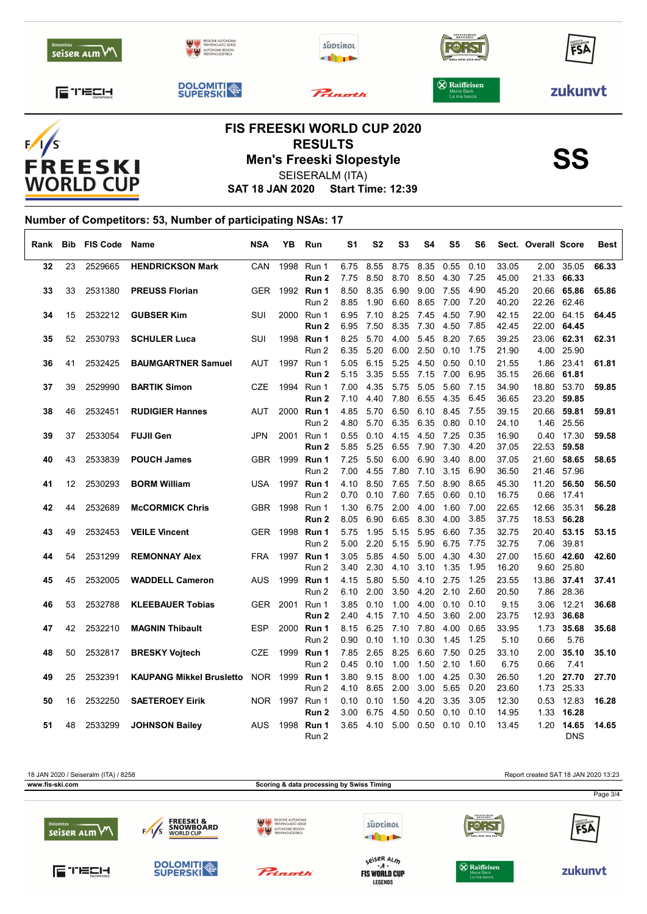

 $F/I/S$ FREESKI<br>WORLD CUP

SEISERALM (ITA)

**SAT 18 JAN 2020 Start Time: 12:39**

## **Number of Competitors: 53, Number of participating NSAs: 17**  $\overline{1}$

| Rank | Bib | <b>FIS Code</b> | Name                            | <b>NSA</b> | YΒ       | Run                                | S1           | S2           | S <sub>3</sub> | S4           | S5           | S6           |                | Sect. Overall Score |                           | Best  |
|------|-----|-----------------|---------------------------------|------------|----------|------------------------------------|--------------|--------------|----------------|--------------|--------------|--------------|----------------|---------------------|---------------------------|-------|
| 32   | 23  | 2529665         | <b>HENDRICKSON Mark</b>         | CAN        | 1998     | Run 1<br>Run 2                     | 6.75<br>7.75 | 8.55<br>8.50 | 8.75<br>8.70   | 8.35<br>8.50 | 0.55<br>4.30 | 0.10<br>7.25 | 33.05<br>45.00 | 2.00<br>21.33       | 35.05<br>66.33            | 66.33 |
| 33   | 33  | 2531380         | <b>PREUSS Florian</b>           | <b>GER</b> |          | 1992 Run 1<br>Run 2                | 8.50<br>8.85 | 8.35<br>1.90 | 6.90<br>6.60   | 9.00<br>8.65 | 7.55<br>7.00 | 4.90<br>7.20 | 45.20<br>40.20 | 20.66<br>22.26      | 65.86<br>62.46            | 65.86 |
| 34   | 15  | 2532212         | <b>GUBSER Kim</b>               | <b>SUI</b> |          | 2000 Run 1<br>Run 2                | 6.95<br>6.95 | 7.10<br>7.50 | 8.25<br>8.35   | 7.45<br>7.30 | 4.50<br>4.50 | 7.90<br>7.85 | 42.15<br>42.45 | 22.00               | 64.15<br>22.00 64.45      | 64.45 |
| 35   | 52  | 2530793         | <b>SCHULER Luca</b>             | SUI        |          | 1998 Run 1<br>Run 2                | 8.25<br>6.35 | 5.70<br>5.20 | 4.00<br>6.00   | 5.45<br>2.50 | 8.20<br>0.10 | 7.65<br>1.75 | 39.25<br>21.90 |                     | 23.06 62.31<br>4.00 25.90 | 62.31 |
| 36   | 41  | 2532425         | <b>BAUMGARTNER Samuel</b>       | AUT        |          | 1997 Run 1<br>Run 2                | 5.05<br>5.15 | 6.15<br>3.35 | 5.25<br>5.55   | 4.50<br>7.15 | 0.50<br>7.00 | 0.10<br>6.95 | 21.55<br>35.15 | 26.66               | 1.86 23.41<br>61.81       | 61.81 |
| 37   | 39  | 2529990         | <b>BARTIK Simon</b>             | <b>CZE</b> |          | 1994 Run 1<br>Run 2                | 7.00<br>7.10 | 4.35<br>4.40 | 5.75<br>7.80   | 5.05<br>6.55 | 5.60<br>4.35 | 7.15<br>6.45 | 34.90<br>36.65 | 18.80               | 53.70<br>23.20 59.85      | 59.85 |
| 38   | 46  | 2532451         | <b>RUDIGIER Hannes</b>          | AUT        |          | 2000 Run 1<br>Run 2                | 4.85<br>4.80 | 5.70<br>5.70 | 6.50<br>6.35   | 6.10<br>6.35 | 8.45<br>0.80 | 7.55<br>0.10 | 39.15<br>24.10 | 20.66<br>1.46       | 59.81<br>25.56            | 59.81 |
| 39   | 37  | 2533054         | <b>FUJII Gen</b>                | <b>JPN</b> | 2001     | Run 1<br>Run 2                     | 0.55<br>5.85 | 0.10<br>5.25 | 4.15<br>6.55   | 4.50<br>7.90 | 7.25<br>7.30 | 0.35<br>4.20 | 16.90<br>37.05 |                     | 0.40 17.30<br>22.53 59.58 | 59.58 |
| 40   | 43  | 2533839         | <b>POUCH James</b>              | GBR        |          | 1999 <b>Run 1</b><br>Run 2         | 7.25<br>7.00 | 5.50<br>4.55 | 6.00<br>7.80   | 6.90<br>7.10 | 3.40<br>3.15 | 8.00<br>6.90 | 37.05<br>36.50 | 21.46               | 21.60 58.65<br>57.96      | 58.65 |
| 41   | 12  | 2530293         | <b>BORM William</b>             | <b>USA</b> |          | 1997 Run 1<br>Run 2                | 4.10<br>0.70 | 8.50<br>0.10 | 7.65<br>7.60   | 7.50<br>7.65 | 8.90<br>0.60 | 8.65<br>0.10 | 45.30<br>16.75 | 11.20<br>0.66       | 56.50<br>17.41            | 56.50 |
| 42   | 44  | 2532689         | <b>McCORMICK Chris</b>          |            |          | GBR 1998 Run 1<br>Run <sub>2</sub> | 1.30<br>8.05 | 6.75<br>6.90 | 2.00<br>6.65   | 4.00<br>8.30 | 1.60<br>4.00 | 7.00<br>3.85 | 22.65<br>37.75 | 12.66<br>18.53      | 35.31<br>56.28            | 56.28 |
| 43   | 49  | 2532453         | <b>VEILE Vincent</b>            | <b>GER</b> |          | 1998 <b>Run 1</b><br>Run 2         | 5.75<br>5.00 | 1.95<br>2.20 | 5.15<br>5.15   | 5.95<br>5.90 | 6.60<br>6.75 | 7.35<br>7.75 | 32.75<br>32.75 | 20.40<br>7.06       | 53.15<br>39.81            | 53.15 |
| 44   | 54  | 2531299         | <b>REMONNAY Alex</b>            | <b>FRA</b> |          | 1997 Run 1<br>Run 2                | 3.05<br>3.40 | 5.85<br>2.30 | 4.50<br>4.10   | 5.00<br>3.10 | 4.30<br>1.35 | 4.30<br>1.95 | 27.00<br>16.20 | 9.60                | 15.60 42.60<br>25.80      | 42.60 |
| 45   | 45  | 2532005         | <b>WADDELL Cameron</b>          | AUS        |          | 1999 Run 1<br>Run 2                | 4.15<br>6.10 | 5.80<br>2.00 | 5.50<br>3.50   | 4.10<br>4.20 | 2.75<br>2.10 | 1.25<br>2.60 | 23.55<br>20.50 | 7.86                | 13.86 37.41<br>28.36      | 37.41 |
| 46   | 53  | 2532788         | <b>KLEEBAUER Tobias</b>         |            | GER 2001 | Run 1<br>Run 2                     | 3.85<br>2.40 | 0.10<br>4.15 | 1.00<br>7.10   | 4.00<br>4.50 | 0.10<br>3.60 | 0.10<br>2.00 | 9.15<br>23.75  | 3.06<br>12.93       | 12.21<br>36.68            | 36.68 |
| 47   | 42  | 2532210         | <b>MAGNIN Thibault</b>          | <b>ESP</b> |          | 2000 Run 1<br>Run 2                | 8.15<br>0.90 | 6.25<br>0.10 | 7.10<br>1.10   | 7.80<br>0.30 | 4.00<br>1.45 | 0.65<br>1.25 | 33.95<br>5.10  | 1.73<br>0.66        | 35.68<br>5.76             | 35.68 |
| 48   | 50  | 2532817         | <b>BRESKY Vojtech</b>           | <b>CZE</b> |          | 1999 Run 1<br>Run 2                | 7.85<br>0.45 | 2.65<br>0.10 | 8.25<br>1.00   | 6.60<br>1.50 | 7.50<br>2.10 | 0.25<br>1.60 | 33.10<br>6.75  | 2.00<br>0.66        | 35.10<br>7.41             | 35.10 |
| 49   | 25  | 2532391         | <b>KAUPANG Mikkel Brusletto</b> |            |          | NOR 1999 Run 1<br>Run 2            | 3.80<br>4.10 | 9.15<br>8.65 | 8.00<br>2.00   | 1.00<br>3.00 | 4.25<br>5.65 | 0.30<br>0.20 | 26.50<br>23.60 | 1.20                | 27.70<br>1.73 25.33       | 27.70 |
| 50   | 16  | 2532250         | <b>SAETEROEY Eirik</b>          |            |          | NOR 1997 Run 1<br>Run 2            | 0.10<br>3.00 | 0.10<br>6.75 | 1.50<br>4.50   | 4.20<br>0.50 | 3.35<br>0.10 | 3.05<br>0.10 | 12.30<br>14.95 | 1.33                | 0.53 12.83<br>16.28       | 16.28 |
| 51   | 48  | 2533299         | <b>JOHNSON Bailey</b>           | AUS        | 1998     | Run 1<br>Run 2                     |              | 3.65 4.10    | 5.00           | 0.50         | 0.10         | 0.10         | 13.45          |                     | 1.20 14.65<br><b>DNS</b>  | 14.65 |



**LEGENDS**